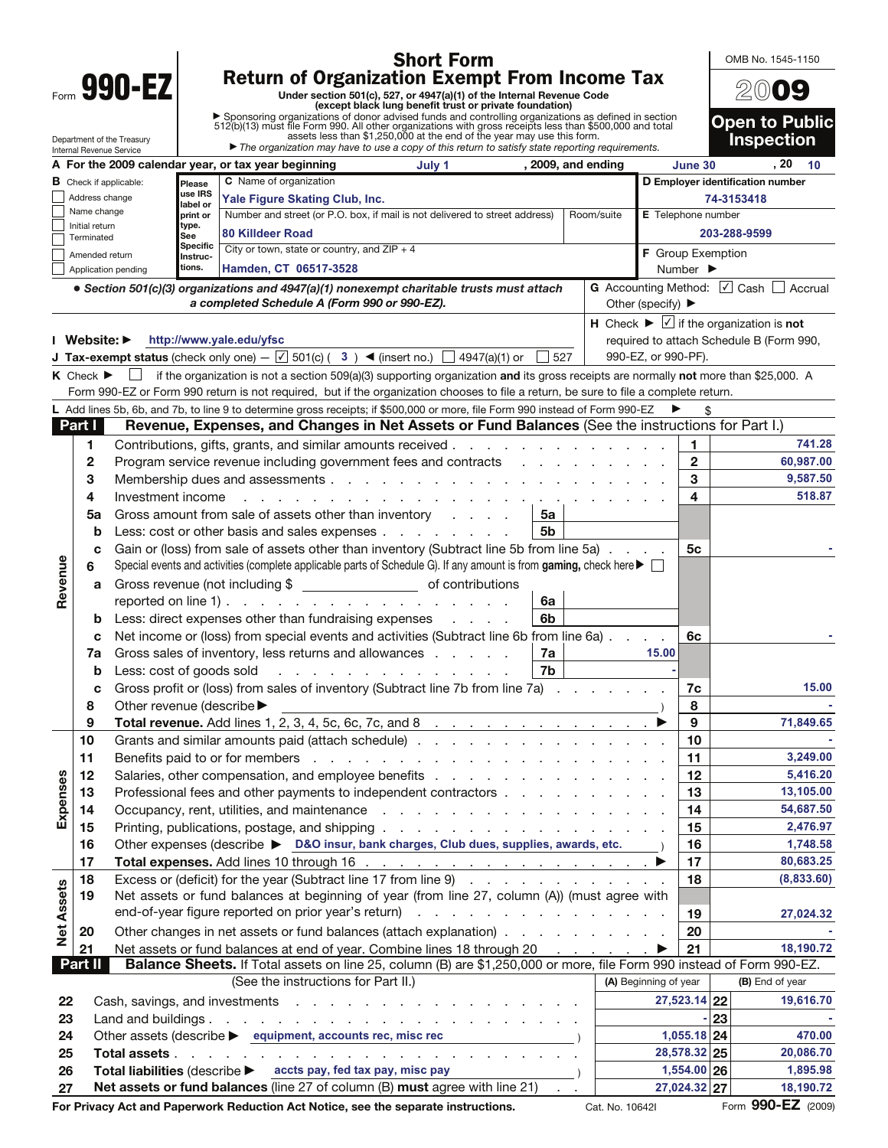| <b>Short Form</b> |                                                                |                                                                                                                                                                  |                                                                                                                                             |                                                                                                                                                                                                                                |                                                                                                                                  |                                                                                                                 | OMB No. 1545-1150        |            |                       |                              |                                                               |                                     |
|-------------------|----------------------------------------------------------------|------------------------------------------------------------------------------------------------------------------------------------------------------------------|---------------------------------------------------------------------------------------------------------------------------------------------|--------------------------------------------------------------------------------------------------------------------------------------------------------------------------------------------------------------------------------|----------------------------------------------------------------------------------------------------------------------------------|-----------------------------------------------------------------------------------------------------------------|--------------------------|------------|-----------------------|------------------------------|---------------------------------------------------------------|-------------------------------------|
|                   | <b>Return of Organization Exempt From Income Tax</b><br>990-EZ |                                                                                                                                                                  |                                                                                                                                             |                                                                                                                                                                                                                                |                                                                                                                                  |                                                                                                                 |                          |            |                       |                              |                                                               |                                     |
|                   |                                                                |                                                                                                                                                                  |                                                                                                                                             |                                                                                                                                                                                                                                | Under section 501(c), 527, or 4947(a)(1) of the Internal Revenue Code<br>(except black lung benefit trust or private foundation) |                                                                                                                 |                          |            |                       |                              | 2009                                                          |                                     |
|                   |                                                                |                                                                                                                                                                  |                                                                                                                                             |                                                                                                                                                                                                                                |                                                                                                                                  |                                                                                                                 |                          |            |                       |                              |                                                               | <b>Open to Public</b>               |
|                   |                                                                | Department of the Treasury                                                                                                                                       |                                                                                                                                             | ▶ Sponsoring organizations of donor advised funds and controlling organizations as defined in section 512(b)(13) must file Form 990. All other organizations with gross receipts less than \$500,000 and total assets less tha |                                                                                                                                  |                                                                                                                 |                          |            |                       |                              | <b>Inspection</b>                                             |                                     |
|                   |                                                                | Internal Revenue Service                                                                                                                                         |                                                                                                                                             | $\blacktriangleright$ The organization may have to use a copy of this return to satisfy state reporting requirements.                                                                                                          |                                                                                                                                  |                                                                                                                 |                          |            |                       |                              |                                                               |                                     |
|                   |                                                                |                                                                                                                                                                  |                                                                                                                                             | A For the 2009 calendar year, or tax year beginning                                                                                                                                                                            | July 1                                                                                                                           |                                                                                                                 | , 2009, and ending       |            |                       | June 30                      |                                                               | . 20<br>10                          |
|                   |                                                                | <b>B</b> Check if applicable:<br>Address change                                                                                                                  | Please<br>use IRS                                                                                                                           | <b>C</b> Name of organization                                                                                                                                                                                                  |                                                                                                                                  |                                                                                                                 |                          |            |                       |                              | D Employer identification number<br>74-3153418                |                                     |
|                   | Name change                                                    |                                                                                                                                                                  | label or<br>print or                                                                                                                        | Yale Figure Skating Club, Inc.<br>Number and street (or P.O. box, if mail is not delivered to street address)                                                                                                                  |                                                                                                                                  |                                                                                                                 |                          | Room/suite |                       | <b>E</b> Telephone number    |                                                               |                                     |
|                   | type.<br>Initial return<br>80 Killdeer Road                    |                                                                                                                                                                  |                                                                                                                                             |                                                                                                                                                                                                                                |                                                                                                                                  |                                                                                                                 |                          |            |                       |                              | 203-288-9599                                                  |                                     |
|                   | Terminated                                                     |                                                                                                                                                                  | See<br>Specific                                                                                                                             | City or town, state or country, and $ZIP + 4$                                                                                                                                                                                  |                                                                                                                                  |                                                                                                                 |                          |            |                       | <b>F</b> Group Exemption     |                                                               |                                     |
|                   |                                                                | Amended return<br>Application pending                                                                                                                            | Instruc-<br>tions.                                                                                                                          | Hamden, CT 06517-3528                                                                                                                                                                                                          |                                                                                                                                  |                                                                                                                 |                          |            |                       | Number $\blacktriangleright$ |                                                               |                                     |
|                   |                                                                |                                                                                                                                                                  |                                                                                                                                             | • Section 501(c)(3) organizations and 4947(a)(1) nonexempt charitable trusts must attach                                                                                                                                       |                                                                                                                                  |                                                                                                                 |                          |            |                       |                              |                                                               | G Accounting Method: 0 Cash Accrual |
|                   |                                                                |                                                                                                                                                                  |                                                                                                                                             | a completed Schedule A (Form 990 or 990-EZ).                                                                                                                                                                                   |                                                                                                                                  |                                                                                                                 |                          |            | Other (specify) ▶     |                              |                                                               |                                     |
|                   |                                                                |                                                                                                                                                                  |                                                                                                                                             |                                                                                                                                                                                                                                |                                                                                                                                  |                                                                                                                 |                          |            |                       |                              | H Check $\blacktriangleright \Box$ if the organization is not |                                     |
|                   |                                                                | Website: $\blacktriangleright$                                                                                                                                   |                                                                                                                                             | http://www.yale.edu/yfsc                                                                                                                                                                                                       |                                                                                                                                  |                                                                                                                 |                          |            |                       |                              | required to attach Schedule B (Form 990,                      |                                     |
|                   |                                                                |                                                                                                                                                                  |                                                                                                                                             | <b>J Tax-exempt status</b> (check only one) $-\sqrt{2}$ 501(c) (3) < (insert no.) $\Box$ 4947(a)(1) or                                                                                                                         |                                                                                                                                  |                                                                                                                 | 527                      |            | 990-EZ, or 990-PF).   |                              |                                                               |                                     |
|                   | $K$ Check $\blacktriangleright$                                |                                                                                                                                                                  |                                                                                                                                             | if the organization is not a section 509(a)(3) supporting organization and its gross receipts are normally not more than \$25,000. A                                                                                           |                                                                                                                                  |                                                                                                                 |                          |            |                       |                              |                                                               |                                     |
|                   |                                                                |                                                                                                                                                                  |                                                                                                                                             | Form 990-EZ or Form 990 return is not required, but if the organization chooses to file a return, be sure to file a complete return.                                                                                           |                                                                                                                                  |                                                                                                                 |                          |            |                       |                              |                                                               |                                     |
|                   |                                                                |                                                                                                                                                                  |                                                                                                                                             | L Add lines 5b, 6b, and 7b, to line 9 to determine gross receipts; if \$500,000 or more, file Form 990 instead of Form 990-EZ                                                                                                  |                                                                                                                                  |                                                                                                                 |                          |            |                       |                              |                                                               |                                     |
|                   | Part I                                                         |                                                                                                                                                                  |                                                                                                                                             | Revenue, Expenses, and Changes in Net Assets or Fund Balances (See the instructions for Part I.)                                                                                                                               |                                                                                                                                  |                                                                                                                 |                          |            |                       |                              |                                                               |                                     |
|                   | 1                                                              |                                                                                                                                                                  |                                                                                                                                             | Contributions, gifts, grants, and similar amounts received.                                                                                                                                                                    |                                                                                                                                  | the contract of the contract of the contract of the contract of the contract of the contract of the contract of |                          |            |                       | 1                            |                                                               | 741.28                              |
|                   | $\mathbf 2$                                                    |                                                                                                                                                                  |                                                                                                                                             | Program service revenue including government fees and contracts                                                                                                                                                                |                                                                                                                                  |                                                                                                                 |                          |            |                       | $\mathbf{2}$                 |                                                               | 60,987.00                           |
|                   | 3                                                              |                                                                                                                                                                  |                                                                                                                                             | Membership dues and assessments                                                                                                                                                                                                |                                                                                                                                  |                                                                                                                 |                          |            |                       | 3                            |                                                               | 9,587.50                            |
|                   | 4                                                              |                                                                                                                                                                  | Investment income<br>the contract of the contract of the contract of the contract of the contract of the contract of the contract of        |                                                                                                                                                                                                                                |                                                                                                                                  |                                                                                                                 |                          |            |                       | 4                            |                                                               | 518.87                              |
|                   | 5a                                                             | Gross amount from sale of assets other than inventory<br>5a                                                                                                      |                                                                                                                                             |                                                                                                                                                                                                                                |                                                                                                                                  |                                                                                                                 |                          |            |                       |                              |                                                               |                                     |
|                   | b                                                              |                                                                                                                                                                  |                                                                                                                                             | Less: cost or other basis and sales expenses                                                                                                                                                                                   |                                                                                                                                  |                                                                                                                 | 5b                       |            |                       |                              |                                                               |                                     |
|                   | C                                                              |                                                                                                                                                                  |                                                                                                                                             | Gain or (loss) from sale of assets other than inventory (Subtract line 5b from line 5a)                                                                                                                                        |                                                                                                                                  |                                                                                                                 |                          |            |                       | 5с                           |                                                               |                                     |
| Revenue           | 6                                                              |                                                                                                                                                                  | Special events and activities (complete applicable parts of Schedule G). If any amount is from gaming, check here $\blacktriangleright\Box$ |                                                                                                                                                                                                                                |                                                                                                                                  |                                                                                                                 |                          |            |                       |                              |                                                               |                                     |
|                   | a                                                              |                                                                                                                                                                  |                                                                                                                                             |                                                                                                                                                                                                                                |                                                                                                                                  |                                                                                                                 |                          |            |                       |                              |                                                               |                                     |
|                   |                                                                |                                                                                                                                                                  |                                                                                                                                             | reported on line 1) $\ldots$ $\ldots$ $\ldots$ $\ldots$ $\ldots$ $\ldots$ $\ldots$                                                                                                                                             |                                                                                                                                  |                                                                                                                 | 6a                       |            |                       |                              |                                                               |                                     |
|                   | b                                                              |                                                                                                                                                                  |                                                                                                                                             | Less: direct expenses other than fundraising expenses                                                                                                                                                                          |                                                                                                                                  |                                                                                                                 | 6b                       |            |                       | 6с                           |                                                               |                                     |
|                   | c<br>7a                                                        | Net income or (loss) from special events and activities (Subtract line 6b from line 6a).<br>15.00<br>Gross sales of inventory, less returns and allowances<br>7a |                                                                                                                                             |                                                                                                                                                                                                                                |                                                                                                                                  |                                                                                                                 |                          |            |                       |                              |                                                               |                                     |
|                   | b                                                              | Less: cost of goods sold                                                                                                                                         |                                                                                                                                             |                                                                                                                                                                                                                                | 7b                                                                                                                               |                                                                                                                 |                          |            |                       |                              |                                                               |                                     |
|                   | с                                                              |                                                                                                                                                                  |                                                                                                                                             |                                                                                                                                                                                                                                |                                                                                                                                  |                                                                                                                 |                          |            |                       | 7c                           |                                                               | 15.00                               |
|                   | 8                                                              | Gross profit or (loss) from sales of inventory (Subtract line 7b from line 7a).<br>Other revenue (describe $\blacktriangleright$                                 |                                                                                                                                             |                                                                                                                                                                                                                                |                                                                                                                                  |                                                                                                                 |                          | 8          |                       |                              |                                                               |                                     |
|                   | 9                                                              |                                                                                                                                                                  |                                                                                                                                             |                                                                                                                                                                                                                                |                                                                                                                                  |                                                                                                                 |                          |            |                       | 9                            |                                                               | 71,849.65                           |
|                   | 10                                                             |                                                                                                                                                                  |                                                                                                                                             |                                                                                                                                                                                                                                |                                                                                                                                  |                                                                                                                 |                          |            |                       | 10                           |                                                               |                                     |
|                   | 11                                                             |                                                                                                                                                                  |                                                                                                                                             |                                                                                                                                                                                                                                |                                                                                                                                  |                                                                                                                 |                          |            |                       | 11                           |                                                               | 3,249.00                            |
|                   | 12                                                             |                                                                                                                                                                  |                                                                                                                                             |                                                                                                                                                                                                                                |                                                                                                                                  |                                                                                                                 |                          |            |                       | 12                           |                                                               | 5,416.20                            |
| Expenses          | 13                                                             |                                                                                                                                                                  |                                                                                                                                             | Professional fees and other payments to independent contractors                                                                                                                                                                |                                                                                                                                  |                                                                                                                 |                          |            |                       | 13                           |                                                               | 13,105.00                           |
|                   | 14                                                             |                                                                                                                                                                  |                                                                                                                                             |                                                                                                                                                                                                                                |                                                                                                                                  |                                                                                                                 |                          |            | 14                    |                              | 54,687.50                                                     |                                     |
|                   | 15                                                             |                                                                                                                                                                  |                                                                                                                                             |                                                                                                                                                                                                                                |                                                                                                                                  |                                                                                                                 |                          |            |                       | 15                           |                                                               | 2,476.97                            |
|                   | 16                                                             |                                                                                                                                                                  |                                                                                                                                             | Other expenses (describe > D&O insur, bank charges, Club dues, supplies, awards, etc.                                                                                                                                          |                                                                                                                                  |                                                                                                                 |                          |            |                       | 16                           |                                                               | 1,748.58                            |
|                   | 17                                                             |                                                                                                                                                                  |                                                                                                                                             |                                                                                                                                                                                                                                |                                                                                                                                  |                                                                                                                 |                          |            |                       | 17                           |                                                               | 80,683.25                           |
|                   | 18                                                             |                                                                                                                                                                  |                                                                                                                                             | Excess or (deficit) for the year (Subtract line 17 from line 9)                                                                                                                                                                |                                                                                                                                  |                                                                                                                 |                          |            |                       | 18                           |                                                               | (8,833.60)                          |
|                   | 19                                                             |                                                                                                                                                                  |                                                                                                                                             | Net assets or fund balances at beginning of year (from line 27, column (A)) (must agree with                                                                                                                                   |                                                                                                                                  |                                                                                                                 |                          |            |                       |                              |                                                               |                                     |
|                   |                                                                |                                                                                                                                                                  |                                                                                                                                             |                                                                                                                                                                                                                                |                                                                                                                                  |                                                                                                                 |                          |            |                       | 19                           |                                                               | 27,024.32                           |
| <b>Net Assets</b> | 20                                                             |                                                                                                                                                                  |                                                                                                                                             | Other changes in net assets or fund balances (attach explanation)                                                                                                                                                              |                                                                                                                                  |                                                                                                                 |                          |            |                       | 20                           |                                                               |                                     |
|                   | 21                                                             |                                                                                                                                                                  |                                                                                                                                             | Net assets or fund balances at end of year. Combine lines 18 through 20                                                                                                                                                        |                                                                                                                                  |                                                                                                                 |                          |            | ▶                     | 21                           |                                                               | 18,190.72                           |
|                   | <b>Part II</b>                                                 |                                                                                                                                                                  |                                                                                                                                             | Balance Sheets. If Total assets on line 25, column (B) are \$1,250,000 or more, file Form 990 instead of Form 990-EZ.                                                                                                          |                                                                                                                                  |                                                                                                                 |                          |            |                       |                              |                                                               |                                     |
|                   |                                                                |                                                                                                                                                                  |                                                                                                                                             | (See the instructions for Part II.)                                                                                                                                                                                            |                                                                                                                                  |                                                                                                                 |                          |            | (A) Beginning of year |                              | (B) End of year                                               |                                     |
| 22                |                                                                |                                                                                                                                                                  |                                                                                                                                             |                                                                                                                                                                                                                                |                                                                                                                                  |                                                                                                                 |                          |            |                       | 27,523.14 22                 |                                                               | 19,616.70                           |
| 23                |                                                                |                                                                                                                                                                  |                                                                                                                                             |                                                                                                                                                                                                                                |                                                                                                                                  |                                                                                                                 |                          |            |                       | 23<br>1,055.18 24            |                                                               | 470.00                              |
| 24                |                                                                |                                                                                                                                                                  |                                                                                                                                             | Other assets (describe > equipment, accounts rec, misc rec                                                                                                                                                                     |                                                                                                                                  | $\overline{\phantom{a}}$                                                                                        |                          |            |                       | 28,578.32 25                 |                                                               | 20,086.70                           |
| 25<br>26          |                                                                |                                                                                                                                                                  |                                                                                                                                             | Total liabilities (describe > accts pay, fed tax pay, misc pay                                                                                                                                                                 |                                                                                                                                  |                                                                                                                 |                          |            |                       | $1,554.00$ 26                |                                                               | 1,895.98                            |
| 27                |                                                                |                                                                                                                                                                  |                                                                                                                                             | Net assets or fund balances (line 27 of column (B) must agree with line 21)                                                                                                                                                    |                                                                                                                                  |                                                                                                                 | $\overline{\phantom{a}}$ |            |                       | 27,024.32 27                 |                                                               | 18,190.72                           |
|                   |                                                                |                                                                                                                                                                  |                                                                                                                                             |                                                                                                                                                                                                                                |                                                                                                                                  |                                                                                                                 |                          |            |                       |                              |                                                               |                                     |

**For Privacy Act and Paperwork Reduction Act Notice, see the separate instructions.** Cat. No. 10642I Form **990-EZ** (2009)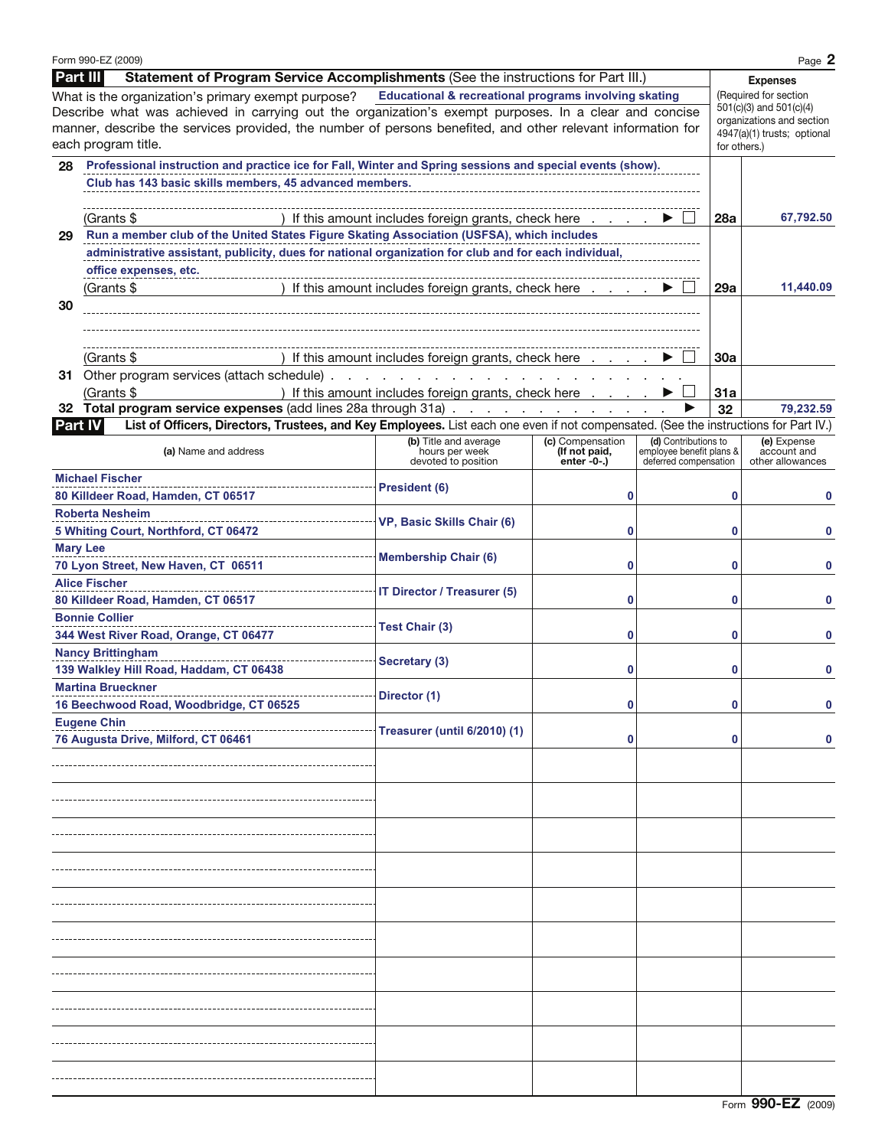|                 | Form 990-EZ (2009)                                                                                                                   |                                                                                                                 |                              |                                                   |                         | Page 2                          |  |  |
|-----------------|--------------------------------------------------------------------------------------------------------------------------------------|-----------------------------------------------------------------------------------------------------------------|------------------------------|---------------------------------------------------|-------------------------|---------------------------------|--|--|
| <b>Part III</b> | Statement of Program Service Accomplishments (See the instructions for Part III.)                                                    |                                                                                                                 |                              |                                                   |                         | <b>Expenses</b>                 |  |  |
|                 | What is the organization's primary exempt purpose?                                                                                   | Educational & recreational programs involving skating                                                           |                              |                                                   | (Required for section   |                                 |  |  |
|                 | Describe what was achieved in carrying out the organization's exempt purposes. In a clear and concise                                |                                                                                                                 |                              |                                                   | 501(c)(3) and 501(c)(4) |                                 |  |  |
|                 | manner, describe the services provided, the number of persons benefited, and other relevant information for                          |                                                                                                                 |                              |                                                   |                         | organizations and section       |  |  |
|                 | each program title.                                                                                                                  |                                                                                                                 |                              |                                                   | for others.)            | 4947(a)(1) trusts; optional     |  |  |
|                 |                                                                                                                                      |                                                                                                                 |                              |                                                   |                         |                                 |  |  |
|                 | 28 Professional instruction and practice ice for Fall, Winter and Spring sessions and special events (show).                         |                                                                                                                 |                              |                                                   |                         |                                 |  |  |
|                 | Club has 143 basic skills members, 45 advanced members.                                                                              |                                                                                                                 |                              |                                                   |                         |                                 |  |  |
|                 |                                                                                                                                      |                                                                                                                 |                              |                                                   |                         |                                 |  |  |
|                 | (Grants \$                                                                                                                           | ) If this amount includes foreign grants, check here $\ldots$ $\ldots$                                          |                              |                                                   | <b>28a</b>              | 67,792.50                       |  |  |
| 29              | Run a member club of the United States Figure Skating Association (USFSA), which includes                                            |                                                                                                                 |                              |                                                   |                         |                                 |  |  |
|                 | administrative assistant, publicity, dues for national organization for club and for each individual,                                |                                                                                                                 |                              |                                                   |                         |                                 |  |  |
|                 | office expenses, etc.                                                                                                                |                                                                                                                 |                              |                                                   |                         |                                 |  |  |
|                 | (Grants \$<br>) If this amount includes foreign grants, check here $\ldots$ $\blacktriangleright$                                    |                                                                                                                 | 29a                          | 11,440.09                                         |                         |                                 |  |  |
| 30              |                                                                                                                                      |                                                                                                                 |                              |                                                   |                         |                                 |  |  |
|                 |                                                                                                                                      |                                                                                                                 |                              |                                                   |                         |                                 |  |  |
|                 |                                                                                                                                      |                                                                                                                 |                              |                                                   |                         |                                 |  |  |
|                 |                                                                                                                                      |                                                                                                                 |                              |                                                   |                         |                                 |  |  |
|                 | (Grants \$                                                                                                                           | ) If this amount includes foreign grants, check here                                                            |                              |                                                   | 30a                     |                                 |  |  |
|                 | 31 Other program services (attach schedule).                                                                                         | the contract of the contract of the contract of the contract of the contract of the contract of the contract of |                              |                                                   |                         |                                 |  |  |
|                 | (Grants \$                                                                                                                           | ) If this amount includes foreign grants, check here                                                            |                              |                                                   | 31a                     |                                 |  |  |
|                 | 32 Total program service expenses (add lines 28a through 31a)                                                                        |                                                                                                                 |                              |                                                   | 32                      | 79,232.59                       |  |  |
| Part IV         | List of Officers, Directors, Trustees, and Key Employees. List each one even if not compensated. (See the instructions for Part IV.) |                                                                                                                 |                              |                                                   |                         |                                 |  |  |
|                 |                                                                                                                                      | (b) Title and average                                                                                           | (c) Compensation             | (d) Contributions to                              |                         | (e) Expense                     |  |  |
|                 | (a) Name and address                                                                                                                 | hours per week<br>devoted to position                                                                           | (If not paid,<br>$enter -0-$ | employee benefit plans &<br>deferred compensation |                         | account and<br>other allowances |  |  |
|                 | <b>Michael Fischer</b>                                                                                                               |                                                                                                                 |                              |                                                   |                         |                                 |  |  |
|                 | 80 Killdeer Road, Hamden, CT 06517                                                                                                   |                                                                                                                 | 0                            |                                                   | 0                       |                                 |  |  |
|                 |                                                                                                                                      |                                                                                                                 |                              |                                                   |                         |                                 |  |  |
|                 | <b>Roberta Nesheim</b>                                                                                                               | VP, Basic Skills Chair (6)                                                                                      |                              |                                                   |                         |                                 |  |  |
|                 | 5 Whiting Court, Northford, CT 06472                                                                                                 |                                                                                                                 | 0                            |                                                   | 0                       |                                 |  |  |
| <b>Mary Lee</b> |                                                                                                                                      | <b>Membership Chair (6)</b>                                                                                     |                              |                                                   |                         |                                 |  |  |
|                 | 70 Lyon Street, New Haven, CT 06511                                                                                                  |                                                                                                                 | 0                            |                                                   | 0                       |                                 |  |  |
|                 | <b>Alice Fischer</b>                                                                                                                 | <b>IT Director / Treasurer (5)</b>                                                                              |                              |                                                   |                         |                                 |  |  |
|                 | 80 Killdeer Road, Hamden, CT 06517                                                                                                   |                                                                                                                 | 0                            |                                                   | 0                       |                                 |  |  |
|                 | <b>Bonnie Collier</b>                                                                                                                |                                                                                                                 |                              |                                                   |                         |                                 |  |  |
|                 | 344 West River Road, Orange, CT 06477                                                                                                | Test Chair (3)                                                                                                  | 0                            |                                                   | 0                       |                                 |  |  |
|                 | <b>Nancy Brittingham</b>                                                                                                             |                                                                                                                 |                              |                                                   |                         |                                 |  |  |
|                 | 139 Walkley Hill Road, Haddam, CT 06438                                                                                              | Secretary (3)<br>0                                                                                              |                              |                                                   | 0                       |                                 |  |  |
|                 |                                                                                                                                      |                                                                                                                 |                              |                                                   |                         |                                 |  |  |
|                 | <b>Martina Brueckner</b>                                                                                                             | Director (1)                                                                                                    |                              |                                                   |                         |                                 |  |  |
|                 | 16 Beechwood Road, Woodbridge, CT 06525                                                                                              |                                                                                                                 |                              |                                                   |                         |                                 |  |  |
|                 | <b>Eugene Chin</b>                                                                                                                   | <b>Treasurer (until 6/2010) (1)</b>                                                                             |                              |                                                   |                         |                                 |  |  |
|                 | 76 Augusta Drive, Milford, CT 06461                                                                                                  |                                                                                                                 | 0                            |                                                   |                         |                                 |  |  |
|                 |                                                                                                                                      |                                                                                                                 |                              |                                                   |                         |                                 |  |  |
|                 |                                                                                                                                      |                                                                                                                 |                              |                                                   |                         |                                 |  |  |
|                 |                                                                                                                                      |                                                                                                                 |                              |                                                   |                         |                                 |  |  |
|                 |                                                                                                                                      |                                                                                                                 |                              |                                                   |                         |                                 |  |  |
|                 |                                                                                                                                      |                                                                                                                 |                              |                                                   |                         |                                 |  |  |
|                 |                                                                                                                                      |                                                                                                                 |                              |                                                   |                         |                                 |  |  |
|                 |                                                                                                                                      |                                                                                                                 |                              |                                                   |                         |                                 |  |  |
|                 |                                                                                                                                      |                                                                                                                 |                              |                                                   |                         |                                 |  |  |
|                 |                                                                                                                                      |                                                                                                                 |                              |                                                   |                         |                                 |  |  |
|                 |                                                                                                                                      |                                                                                                                 |                              |                                                   |                         |                                 |  |  |
|                 |                                                                                                                                      |                                                                                                                 |                              |                                                   |                         |                                 |  |  |
|                 |                                                                                                                                      |                                                                                                                 |                              |                                                   |                         |                                 |  |  |
|                 |                                                                                                                                      |                                                                                                                 |                              |                                                   |                         |                                 |  |  |
|                 |                                                                                                                                      |                                                                                                                 |                              |                                                   |                         |                                 |  |  |
|                 |                                                                                                                                      |                                                                                                                 |                              |                                                   |                         |                                 |  |  |
|                 |                                                                                                                                      |                                                                                                                 |                              |                                                   |                         |                                 |  |  |
|                 |                                                                                                                                      |                                                                                                                 |                              |                                                   |                         |                                 |  |  |
|                 |                                                                                                                                      |                                                                                                                 |                              |                                                   |                         |                                 |  |  |
|                 |                                                                                                                                      |                                                                                                                 |                              |                                                   |                         |                                 |  |  |
|                 |                                                                                                                                      |                                                                                                                 |                              |                                                   |                         |                                 |  |  |
|                 |                                                                                                                                      |                                                                                                                 |                              |                                                   |                         |                                 |  |  |
|                 |                                                                                                                                      |                                                                                                                 |                              |                                                   |                         |                                 |  |  |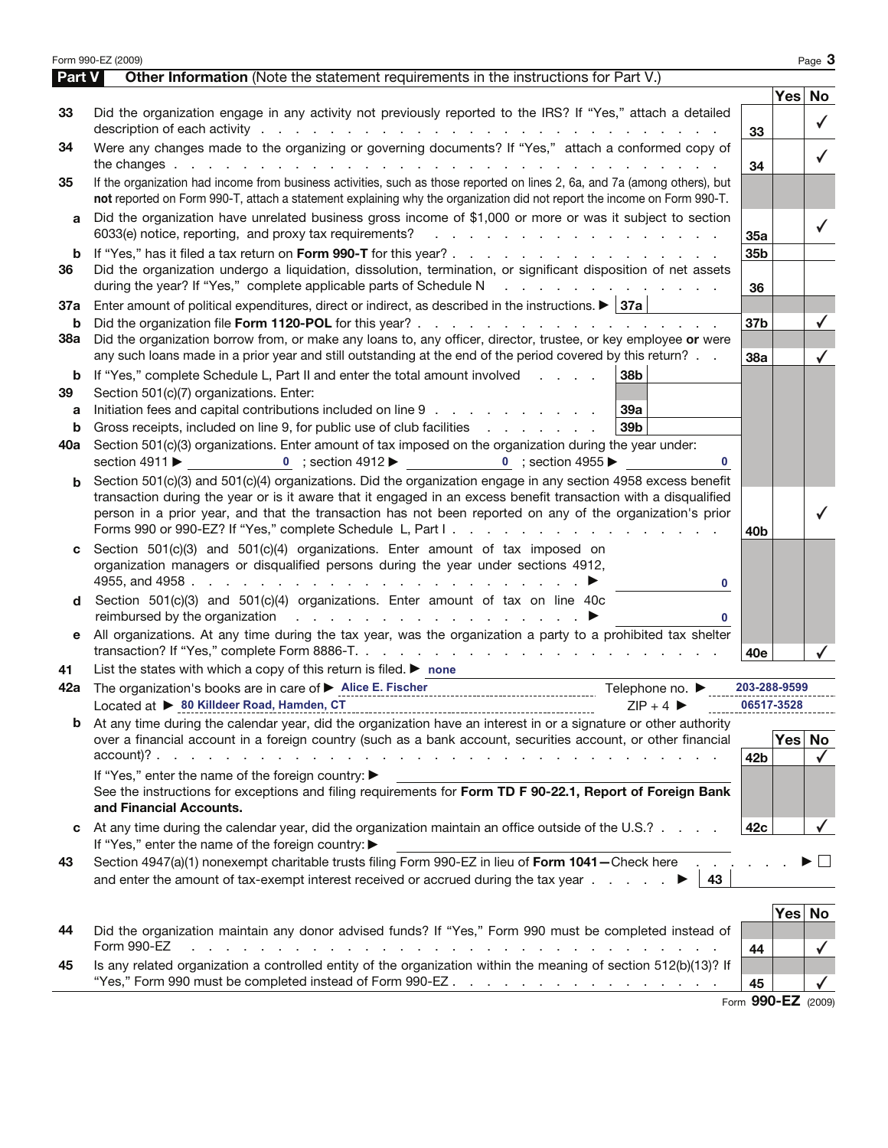| Part V  | Form 990-EZ (2009)<br>Other Information (Note the statement requirements in the instructions for Part V.)                                                                                                                                                                                |                 |        | Page 3       |
|---------|------------------------------------------------------------------------------------------------------------------------------------------------------------------------------------------------------------------------------------------------------------------------------------------|-----------------|--------|--------------|
|         |                                                                                                                                                                                                                                                                                          |                 | Yes No |              |
| 33      | Did the organization engage in any activity not previously reported to the IRS? If "Yes," attach a detailed                                                                                                                                                                              |                 |        |              |
|         | description of each activity respectively and the contract of the contract of the contract of the contract of the contract of the contract of the contract of the contract of the contract of the contract of the contract of                                                            | 33              |        | $\checkmark$ |
| 34      | Were any changes made to the organizing or governing documents? If "Yes," attach a conformed copy of                                                                                                                                                                                     |                 |        | $\checkmark$ |
|         |                                                                                                                                                                                                                                                                                          | 34              |        |              |
| 35      | If the organization had income from business activities, such as those reported on lines 2, 6a, and 7a (among others), but<br>not reported on Form 990-T, attach a statement explaining why the organization did not report the income on Form 990-T.                                    |                 |        |              |
| a       | Did the organization have unrelated business gross income of \$1,000 or more or was it subject to section                                                                                                                                                                                |                 |        | ✓            |
|         | 6033(e) notice, reporting, and proxy tax requirements?<br>and the contract of the contract of the contract of the contract of the contract of the contract of the contract of the contract of the contract of the contract of the contract of the contract of the contract of the contra | 35a             |        |              |
| b<br>36 | Did the organization undergo a liquidation, dissolution, termination, or significant disposition of net assets<br>during the year? If "Yes," complete applicable parts of Schedule N<br>and the contract of the contract of the                                                          | 35b<br>36       |        |              |
| 37a     | Enter amount of political expenditures, direct or indirect, as described in the instructions. $\blacktriangleright$ 37a                                                                                                                                                                  |                 |        |              |
| b       |                                                                                                                                                                                                                                                                                          | 37 <sub>b</sub> |        |              |
| 38a     | Did the organization borrow from, or make any loans to, any officer, director, trustee, or key employee or were                                                                                                                                                                          |                 |        |              |
|         | any such loans made in a prior year and still outstanding at the end of the period covered by this return?                                                                                                                                                                               | 38a             |        | $\checkmark$ |
| b       | If "Yes," complete Schedule L, Part II and enter the total amount involved<br>38b                                                                                                                                                                                                        |                 |        |              |
| 39      | Section 501(c)(7) organizations. Enter:                                                                                                                                                                                                                                                  |                 |        |              |
| a       | Initiation fees and capital contributions included on line 9<br>39a                                                                                                                                                                                                                      |                 |        |              |
| b       | 39 <sub>b</sub><br>Gross receipts, included on line 9, for public use of club facilities                                                                                                                                                                                                 |                 |        |              |
| 40a     | Section 501(c)(3) organizations. Enter amount of tax imposed on the organization during the year under:<br>section 4911 ▶ 0 ; section 4912 ▶ 0 ; section 4955 ▶<br>0                                                                                                                     |                 |        |              |
|         | Section 501(c)(3) and 501(c)(4) organizations. Did the organization engage in any section 4958 excess benefit                                                                                                                                                                            |                 |        |              |
|         | transaction during the year or is it aware that it engaged in an excess benefit transaction with a disqualified                                                                                                                                                                          |                 |        |              |
|         | person in a prior year, and that the transaction has not been reported on any of the organization's prior                                                                                                                                                                                | 40b             |        |              |
|         | Section 501(c)(3) and 501(c)(4) organizations. Enter amount of tax imposed on                                                                                                                                                                                                            |                 |        |              |
|         | organization managers or disqualified persons during the year under sections 4912,<br>$\mathbf{0}$                                                                                                                                                                                       |                 |        |              |
|         | Section 501(c)(3) and 501(c)(4) organizations. Enter amount of tax on line 40c<br>0                                                                                                                                                                                                      |                 |        |              |
| е       | All organizations. At any time during the tax year, was the organization a party to a prohibited tax shelter                                                                                                                                                                             | 40e             |        |              |
| 41      | List the states with which a copy of this return is filed. $\blacktriangleright$ none                                                                                                                                                                                                    |                 |        |              |
| 42a     | The organization's books are in care of ▶ Alice E. Fischer [11] Telephone no. ▶ 1.1.1.1                                                                                                                                                                                                  | 203-288-9599    |        |              |
|         | Located at ▶ 80 Killdeer Road, Hamden, CT<br>$ZIP + 4$                                                                                                                                                                                                                                   | 06517-3528      |        |              |
| b       | At any time during the calendar year, did the organization have an interest in or a signature or other authority                                                                                                                                                                         |                 |        |              |
|         | over a financial account in a foreign country (such as a bank account, securities account, or other financial                                                                                                                                                                            |                 | Yes    | No           |
|         |                                                                                                                                                                                                                                                                                          | 42b             |        | $\checkmark$ |
|         | If "Yes," enter the name of the foreign country: ▶<br>See the instructions for exceptions and filing requirements for Form TD F 90-22.1, Report of Foreign Bank<br>and Financial Accounts.                                                                                               |                 |        |              |
|         | At any time during the calendar year, did the organization maintain an office outside of the U.S.?                                                                                                                                                                                       | 42c             |        |              |
| c       | If "Yes," enter the name of the foreign country: ▶                                                                                                                                                                                                                                       |                 |        |              |
| 43      | Section 4947(a)(1) nonexempt charitable trusts filing Form 990-EZ in lieu of Form 1041-Check here<br>and enter the amount of tax-exempt interest received or accrued during the tax year $\ldots$<br>43                                                                                  |                 |        |              |
|         |                                                                                                                                                                                                                                                                                          |                 |        |              |
|         | Did the organization maintain any donor advised funds? If "Yes," Form 990 must be completed instead of                                                                                                                                                                                   |                 | Yes    |              |
| 44      | Form 990-EZ<br>the contract of the contract of the contract of the contract of the contract of                                                                                                                                                                                           | 44              |        |              |
| 45      | Is any related organization a controlled entity of the organization within the meaning of section 512(b)(13)? If                                                                                                                                                                         |                 |        | No           |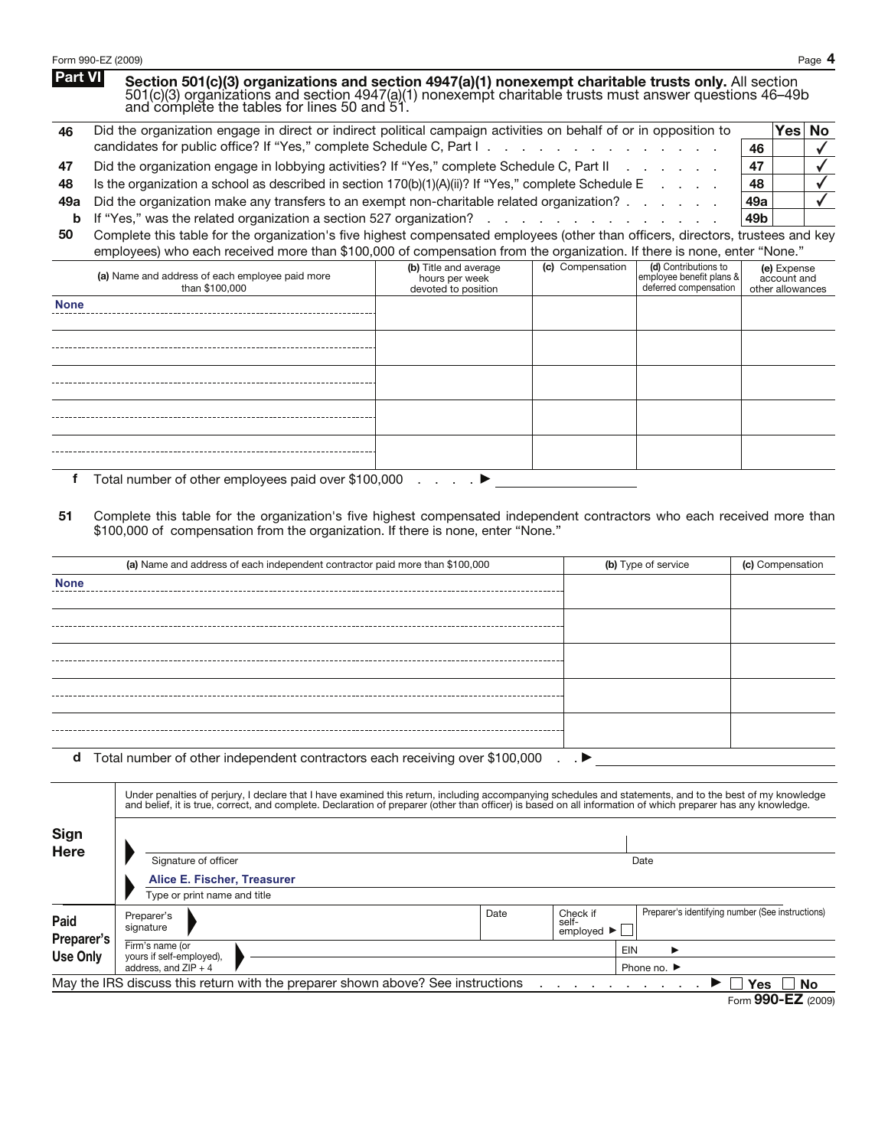|                | Form 990-EZ (2009)                                                                                                                                                                                                                                              |  |  |                     |                  |            | Page 4       |
|----------------|-----------------------------------------------------------------------------------------------------------------------------------------------------------------------------------------------------------------------------------------------------------------|--|--|---------------------|------------------|------------|--------------|
| <b>Part VI</b> | Section 501(c)(3) organizations and section 4947(a)(1) nonexempt charitable trusts only. All section<br>501(c)(3) organizations and section 4947(a)(1) nonexempt charitable trusts must answer questions 46–49b<br>and complete the tables for lines 50 and 51. |  |  |                     |                  |            |              |
| 46             | Did the organization engage in direct or indirect political campaign activities on behalf of or in opposition to                                                                                                                                                |  |  |                     |                  | <b>Yes</b> | No           |
|                |                                                                                                                                                                                                                                                                 |  |  |                     | 46               |            |              |
| 47             | Did the organization engage in lobbying activities? If "Yes," complete Schedule C, Part II                                                                                                                                                                      |  |  |                     | 47               |            | $\checkmark$ |
| 48             | Is the organization a school as described in section $170(b)(1)(A)(ii)$ ? If "Yes," complete Schedule E                                                                                                                                                         |  |  |                     | 48               |            |              |
| 49a            | Did the organization make any transfers to an exempt non-charitable related organization?                                                                                                                                                                       |  |  |                     | 49a              |            |              |
| b              | 49b                                                                                                                                                                                                                                                             |  |  |                     |                  |            |              |
| 50             | Complete this table for the organization's five highest compensated employees (other than officers, directors, trustees and key                                                                                                                                 |  |  |                     |                  |            |              |
|                | employees) who each received more than \$100,000 of compensation from the organization. If there is none, enter "None."                                                                                                                                         |  |  |                     |                  |            |              |
|                | (c) Compensation<br>(d) Contributions to<br>(b) Title and average<br>(a) Name and address of each employee paid more<br>employee benefit plans &<br>hours per week<br>deferred compensation<br>than \$100,000<br>devoted to position<br>other allowances        |  |  |                     |                  |            |              |
| <b>None</b>    |                                                                                                                                                                                                                                                                 |  |  |                     |                  |            |              |
|                |                                                                                                                                                                                                                                                                 |  |  |                     |                  |            |              |
|                |                                                                                                                                                                                                                                                                 |  |  |                     |                  |            |              |
|                |                                                                                                                                                                                                                                                                 |  |  |                     |                  |            |              |
|                |                                                                                                                                                                                                                                                                 |  |  |                     |                  |            |              |
|                |                                                                                                                                                                                                                                                                 |  |  |                     |                  |            |              |
|                |                                                                                                                                                                                                                                                                 |  |  |                     |                  |            |              |
|                |                                                                                                                                                                                                                                                                 |  |  |                     |                  |            |              |
|                |                                                                                                                                                                                                                                                                 |  |  |                     |                  |            |              |
|                |                                                                                                                                                                                                                                                                 |  |  |                     |                  |            |              |
| f              | Total number of other employees paid over \$100,000 $\ldots$ $\ldots$                                                                                                                                                                                           |  |  |                     |                  |            |              |
|                |                                                                                                                                                                                                                                                                 |  |  |                     |                  |            |              |
| 51             | Complete this table for the organization's five highest compensated independent contractors who each received more than<br>\$100,000 of compensation from the organization. If there is none, enter "None."                                                     |  |  |                     |                  |            |              |
|                | (a) Name and address of each independent contractor paid more than \$100,000                                                                                                                                                                                    |  |  | (b) Type of service | (c) Compensation |            |              |
| <b>None</b>    |                                                                                                                                                                                                                                                                 |  |  |                     |                  |            |              |
|                |                                                                                                                                                                                                                                                                 |  |  |                     |                  |            |              |
|                |                                                                                                                                                                                                                                                                 |  |  |                     |                  |            |              |
|                |                                                                                                                                                                                                                                                                 |  |  |                     |                  |            |              |

**d** Total number of other independent contractors each receiving over \$100,000 . .  $\blacktriangleright$ 

|                               | Under penalties of perjury, I declare that I have examined this return, including accompanying schedules and statements, and to the best of my knowledge<br>and belief, it is true, correct, and complete. Declaration of preparer (other than officer) is based on all information of which preparer has any knowledge. |                                             |                                                     |                                                  |  |  |  |  |
|-------------------------------|--------------------------------------------------------------------------------------------------------------------------------------------------------------------------------------------------------------------------------------------------------------------------------------------------------------------------|---------------------------------------------|-----------------------------------------------------|--------------------------------------------------|--|--|--|--|
| <b>Sign</b><br>Here           |                                                                                                                                                                                                                                                                                                                          |                                             |                                                     |                                                  |  |  |  |  |
|                               | Signature of officer                                                                                                                                                                                                                                                                                                     |                                             |                                                     | Date                                             |  |  |  |  |
|                               | Alice E. Fischer, Treasurer                                                                                                                                                                                                                                                                                              |                                             |                                                     |                                                  |  |  |  |  |
|                               | Type or print name and title                                                                                                                                                                                                                                                                                             |                                             |                                                     |                                                  |  |  |  |  |
| Paid                          | Preparer's<br>signature                                                                                                                                                                                                                                                                                                  | Date                                        | Check if<br>self-<br>employed $\blacktriangleright$ | Preparer's identifying number (See instructions) |  |  |  |  |
| Preparer's<br><b>Use Only</b> | Firm's name (or<br>vours if self-employed),<br>address, and $ZIP + 4$                                                                                                                                                                                                                                                    | EIN<br>▸<br>Phone no. $\blacktriangleright$ |                                                     |                                                  |  |  |  |  |
|                               | May the IRS discuss this return with the preparer shown above? See instructions                                                                                                                                                                                                                                          |                                             |                                                     | Yes<br><b>No</b>                                 |  |  |  |  |
|                               |                                                                                                                                                                                                                                                                                                                          |                                             |                                                     | $F_{\text{arm}}$ QQO_E7 (2000)                   |  |  |  |  |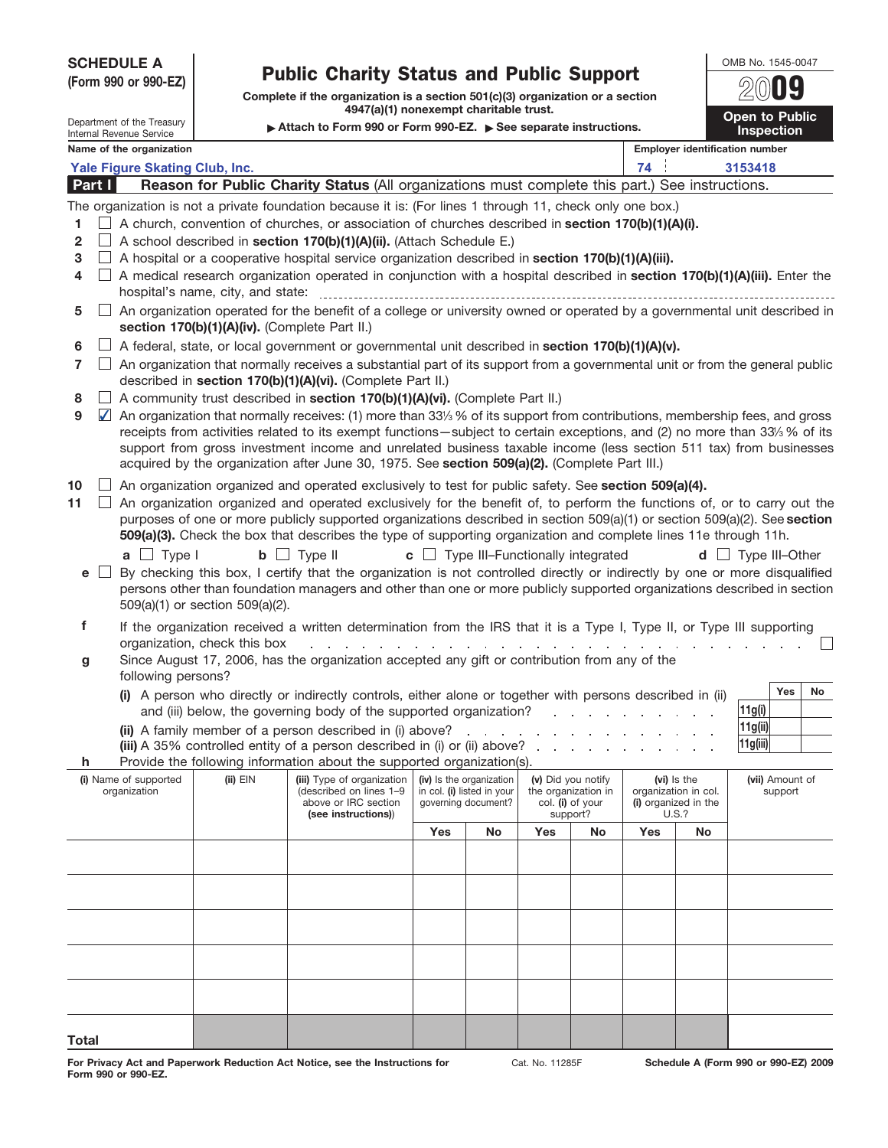## Public Charity Status and Public Support **SCHEDULE A**

OMB No. 1545-0047 **Open to Public**

| (Form 990 or 990-EZ) |           |                                                        | <b>Public Charity Status and Public Support</b>                                                                         |                                                                                                                                                                                                                                 |                                                               |                                                   |                                                      |                                         |     |                                              |                                            |  |  |
|----------------------|-----------|--------------------------------------------------------|-------------------------------------------------------------------------------------------------------------------------|---------------------------------------------------------------------------------------------------------------------------------------------------------------------------------------------------------------------------------|---------------------------------------------------------------|---------------------------------------------------|------------------------------------------------------|-----------------------------------------|-----|----------------------------------------------|--------------------------------------------|--|--|
|                      |           |                                                        | Complete if the organization is a section 501(c)(3) organization or a section<br>4947(a)(1) nonexempt charitable trust. |                                                                                                                                                                                                                                 |                                                               |                                                   |                                                      |                                         |     |                                              |                                            |  |  |
|                      |           | Department of the Treasury<br>Internal Revenue Service |                                                                                                                         |                                                                                                                                                                                                                                 | Attach to Form 990 or Form 990-EZ. See separate instructions. |                                                   |                                                      |                                         |     |                                              | <b>Open to Public</b><br><b>Inspection</b> |  |  |
|                      |           | Name of the organization                               |                                                                                                                         |                                                                                                                                                                                                                                 |                                                               |                                                   |                                                      |                                         |     |                                              | <b>Employer identification number</b>      |  |  |
|                      |           | Yale Figure Skating Club, Inc.                         |                                                                                                                         |                                                                                                                                                                                                                                 |                                                               |                                                   |                                                      |                                         | 74  |                                              | 3153418                                    |  |  |
| Part I               |           |                                                        |                                                                                                                         | Reason for Public Charity Status (All organizations must complete this part.) See instructions.                                                                                                                                 |                                                               |                                                   |                                                      |                                         |     |                                              |                                            |  |  |
|                      |           |                                                        |                                                                                                                         | The organization is not a private foundation because it is: (For lines 1 through 11, check only one box.)                                                                                                                       |                                                               |                                                   |                                                      |                                         |     |                                              |                                            |  |  |
| 1.                   |           |                                                        |                                                                                                                         | A church, convention of churches, or association of churches described in section 170(b)(1)(A)(i).                                                                                                                              |                                                               |                                                   |                                                      |                                         |     |                                              |                                            |  |  |
| 2                    |           |                                                        |                                                                                                                         | A school described in section 170(b)(1)(A)(ii). (Attach Schedule E.)                                                                                                                                                            |                                                               |                                                   |                                                      |                                         |     |                                              |                                            |  |  |
| 3                    |           |                                                        |                                                                                                                         | A hospital or a cooperative hospital service organization described in section 170(b)(1)(A)(iii).                                                                                                                               |                                                               |                                                   |                                                      |                                         |     |                                              |                                            |  |  |
| 4                    |           |                                                        |                                                                                                                         | A medical research organization operated in conjunction with a hospital described in section 170(b)(1)(A)(iii). Enter the                                                                                                       |                                                               |                                                   |                                                      |                                         |     |                                              |                                            |  |  |
| 5                    |           |                                                        | section 170(b)(1)(A)(iv). (Complete Part II.)                                                                           | An organization operated for the benefit of a college or university owned or operated by a governmental unit described in                                                                                                       |                                                               |                                                   |                                                      |                                         |     |                                              |                                            |  |  |
| 6                    |           |                                                        |                                                                                                                         | A federal, state, or local government or governmental unit described in section 170(b)(1)(A)(v).                                                                                                                                |                                                               |                                                   |                                                      |                                         |     |                                              |                                            |  |  |
| 7                    |           |                                                        |                                                                                                                         | An organization that normally receives a substantial part of its support from a governmental unit or from the general public<br>described in section 170(b)(1)(A)(vi). (Complete Part II.)                                      |                                                               |                                                   |                                                      |                                         |     |                                              |                                            |  |  |
| 8                    |           |                                                        |                                                                                                                         | A community trust described in section 170(b)(1)(A)(vi). (Complete Part II.)                                                                                                                                                    |                                                               |                                                   |                                                      |                                         |     |                                              |                                            |  |  |
| 9                    | $\sqrt{}$ |                                                        |                                                                                                                         | An organization that normally receives: (1) more than 33% % of its support from contributions, membership fees, and gross                                                                                                       |                                                               |                                                   |                                                      |                                         |     |                                              |                                            |  |  |
|                      |           |                                                        |                                                                                                                         | receipts from activities related to its exempt functions—subject to certain exceptions, and (2) no more than 33% % of its                                                                                                       |                                                               |                                                   |                                                      |                                         |     |                                              |                                            |  |  |
|                      |           |                                                        |                                                                                                                         | support from gross investment income and unrelated business taxable income (less section 511 tax) from businesses                                                                                                               |                                                               |                                                   |                                                      |                                         |     |                                              |                                            |  |  |
|                      |           |                                                        |                                                                                                                         | acquired by the organization after June 30, 1975. See section 509(a)(2). (Complete Part III.)                                                                                                                                   |                                                               |                                                   |                                                      |                                         |     |                                              |                                            |  |  |
| 10<br>11             |           |                                                        |                                                                                                                         | An organization organized and operated exclusively to test for public safety. See section 509(a)(4).<br>An organization organized and operated exclusively for the benefit of, to perform the functions of, or to carry out the |                                                               |                                                   |                                                      |                                         |     |                                              |                                            |  |  |
|                      |           |                                                        |                                                                                                                         | purposes of one or more publicly supported organizations described in section 509(a)(1) or section 509(a)(2). See section                                                                                                       |                                                               |                                                   |                                                      |                                         |     |                                              |                                            |  |  |
|                      |           |                                                        |                                                                                                                         | 509(a)(3). Check the box that describes the type of supporting organization and complete lines 11e through 11h.                                                                                                                 |                                                               |                                                   |                                                      |                                         |     |                                              |                                            |  |  |
|                      |           | $a \Box$ Type I                                        |                                                                                                                         | $\mathsf{b}$ $\Box$ Type II                                                                                                                                                                                                     |                                                               |                                                   | $\mathbf{c}$ $\Box$ Type III-Functionally integrated |                                         |     |                                              | $d \Box$ Type III-Other                    |  |  |
| e l                  |           |                                                        |                                                                                                                         | By checking this box, I certify that the organization is not controlled directly or indirectly by one or more disqualified                                                                                                      |                                                               |                                                   |                                                      |                                         |     |                                              |                                            |  |  |
|                      |           |                                                        |                                                                                                                         | persons other than foundation managers and other than one or more publicly supported organizations described in section                                                                                                         |                                                               |                                                   |                                                      |                                         |     |                                              |                                            |  |  |
|                      |           |                                                        | 509(a)(1) or section 509(a)(2).                                                                                         |                                                                                                                                                                                                                                 |                                                               |                                                   |                                                      |                                         |     |                                              |                                            |  |  |
| f                    |           |                                                        |                                                                                                                         | If the organization received a written determination from the IRS that it is a Type I, Type II, or Type III supporting                                                                                                          |                                                               |                                                   |                                                      |                                         |     |                                              |                                            |  |  |
| g                    |           |                                                        | organization, check this box                                                                                            | Since August 17, 2006, has the organization accepted any gift or contribution from any of the                                                                                                                                   |                                                               |                                                   |                                                      |                                         |     |                                              |                                            |  |  |
|                      |           | following persons?                                     |                                                                                                                         |                                                                                                                                                                                                                                 |                                                               |                                                   |                                                      |                                         |     |                                              |                                            |  |  |
|                      |           |                                                        |                                                                                                                         | (i) A person who directly or indirectly controls, either alone or together with persons described in (ii)                                                                                                                       |                                                               |                                                   |                                                      |                                         |     |                                              | Yes<br>No                                  |  |  |
|                      |           |                                                        |                                                                                                                         | and (iii) below, the governing body of the supported organization?                                                                                                                                                              |                                                               |                                                   |                                                      |                                         |     |                                              | 11g(i)                                     |  |  |
|                      |           |                                                        |                                                                                                                         | (ii) A family member of a person described in (i) above?                                                                                                                                                                        |                                                               |                                                   |                                                      |                                         |     |                                              | 11g(ii)                                    |  |  |
| h.                   |           |                                                        |                                                                                                                         | (iii) A 35% controlled entity of a person described in (i) or (ii) above?<br>Provide the following information about the supported organization(s).                                                                             |                                                               |                                                   |                                                      |                                         |     |                                              | 11g(iii)                                   |  |  |
|                      |           | (i) Name of supported                                  | (ii) EIN                                                                                                                | (iii) Type of organization                                                                                                                                                                                                      |                                                               | (iv) Is the organization                          |                                                      | (v) Did you notify                      |     | (vi) Is the                                  | (vii) Amount of                            |  |  |
|                      |           | organization                                           |                                                                                                                         | (described on lines 1-9<br>above or IRC section                                                                                                                                                                                 |                                                               | in col. (i) listed in your<br>governing document? |                                                      | the organization in<br>col. (i) of your |     | organization in col.<br>(i) organized in the | support                                    |  |  |
|                      |           |                                                        |                                                                                                                         | (see instructions))                                                                                                                                                                                                             |                                                               |                                                   |                                                      | support?                                |     | U.S.?                                        |                                            |  |  |
|                      |           |                                                        |                                                                                                                         |                                                                                                                                                                                                                                 | Yes                                                           | No                                                | Yes                                                  | No                                      | Yes | No                                           |                                            |  |  |
|                      |           |                                                        |                                                                                                                         |                                                                                                                                                                                                                                 |                                                               |                                                   |                                                      |                                         |     |                                              |                                            |  |  |
|                      |           |                                                        |                                                                                                                         |                                                                                                                                                                                                                                 |                                                               |                                                   |                                                      |                                         |     |                                              |                                            |  |  |
|                      |           |                                                        |                                                                                                                         |                                                                                                                                                                                                                                 |                                                               |                                                   |                                                      |                                         |     |                                              |                                            |  |  |
|                      |           |                                                        |                                                                                                                         |                                                                                                                                                                                                                                 |                                                               |                                                   |                                                      |                                         |     |                                              |                                            |  |  |
|                      |           |                                                        |                                                                                                                         |                                                                                                                                                                                                                                 |                                                               |                                                   |                                                      |                                         |     |                                              |                                            |  |  |
|                      |           |                                                        |                                                                                                                         |                                                                                                                                                                                                                                 |                                                               |                                                   |                                                      |                                         |     |                                              |                                            |  |  |
|                      |           |                                                        |                                                                                                                         |                                                                                                                                                                                                                                 |                                                               |                                                   |                                                      |                                         |     |                                              |                                            |  |  |
|                      |           |                                                        |                                                                                                                         |                                                                                                                                                                                                                                 |                                                               |                                                   |                                                      |                                         |     |                                              |                                            |  |  |

**Total**

Cat. No. 11285F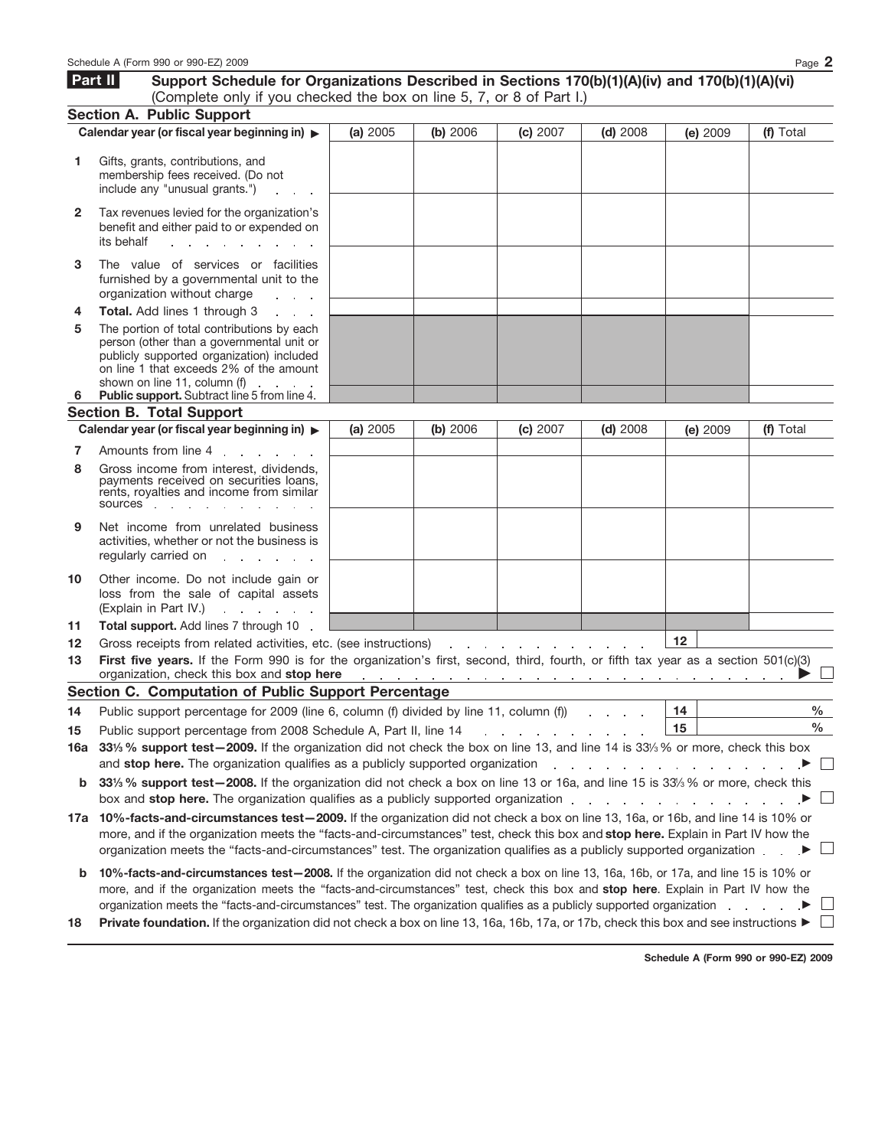|              | Schedule A (Form 990 or 990-EZ) 2009                                                                                                                                                                                                                                                                                                                                                                                                                                                                                                                                     |          |          |                                                                                                               |            |          | Page 2    |  |  |
|--------------|--------------------------------------------------------------------------------------------------------------------------------------------------------------------------------------------------------------------------------------------------------------------------------------------------------------------------------------------------------------------------------------------------------------------------------------------------------------------------------------------------------------------------------------------------------------------------|----------|----------|---------------------------------------------------------------------------------------------------------------|------------|----------|-----------|--|--|
|              | Part II<br>Support Schedule for Organizations Described in Sections 170(b)(1)(A)(iv) and 170(b)(1)(A)(vi)<br>(Complete only if you checked the box on line 5, 7, or 8 of Part I.)                                                                                                                                                                                                                                                                                                                                                                                        |          |          |                                                                                                               |            |          |           |  |  |
|              | <b>Section A. Public Support</b>                                                                                                                                                                                                                                                                                                                                                                                                                                                                                                                                         |          |          |                                                                                                               |            |          |           |  |  |
|              | Calendar year (or fiscal year beginning in) $\blacktriangleright$                                                                                                                                                                                                                                                                                                                                                                                                                                                                                                        | (a) 2005 | (b) 2006 | (c) 2007                                                                                                      | $(d)$ 2008 | (e) 2009 | (f) Total |  |  |
| 1            | Gifts, grants, contributions, and<br>membership fees received. (Do not<br>include any "unusual grants.")                                                                                                                                                                                                                                                                                                                                                                                                                                                                 |          |          |                                                                                                               |            |          |           |  |  |
| $\mathbf{2}$ | Tax revenues levied for the organization's<br>benefit and either paid to or expended on<br>its behalf<br>and the company of the company<br>$\sim$                                                                                                                                                                                                                                                                                                                                                                                                                        |          |          |                                                                                                               |            |          |           |  |  |
| 3            | The value of services or facilities<br>furnished by a governmental unit to the<br>organization without charge<br>and a state                                                                                                                                                                                                                                                                                                                                                                                                                                             |          |          |                                                                                                               |            |          |           |  |  |
| 4            | Total. Add lines 1 through 3<br>and a state                                                                                                                                                                                                                                                                                                                                                                                                                                                                                                                              |          |          |                                                                                                               |            |          |           |  |  |
| 5<br>6       | The portion of total contributions by each<br>person (other than a governmental unit or<br>publicly supported organization) included<br>on line 1 that exceeds 2% of the amount<br>shown on line 11, column (f)<br>$\sim$<br><b>Contract Contract Contract</b><br>Public support. Subtract line 5 from line 4.                                                                                                                                                                                                                                                           |          |          |                                                                                                               |            |          |           |  |  |
|              | <b>Section B. Total Support</b>                                                                                                                                                                                                                                                                                                                                                                                                                                                                                                                                          |          |          |                                                                                                               |            |          |           |  |  |
|              | Calendar year (or fiscal year beginning in) $\blacktriangleright$                                                                                                                                                                                                                                                                                                                                                                                                                                                                                                        | (a) 2005 | (b) 2006 | (c) 2007                                                                                                      | $(d)$ 2008 | (e) 2009 | (f) Total |  |  |
| 7            | Amounts from line 4 and the state of the state of the state of the state of the state of the state of the state                                                                                                                                                                                                                                                                                                                                                                                                                                                          |          |          |                                                                                                               |            |          |           |  |  |
| 8            | Gross income from interest, dividends.<br>payments received on securities loans,<br>rents, royalties and income from similar<br>sources in the sources                                                                                                                                                                                                                                                                                                                                                                                                                   |          |          |                                                                                                               |            |          |           |  |  |
| 9            | Net income from unrelated business<br>activities, whether or not the business is<br>regularly carried on                                                                                                                                                                                                                                                                                                                                                                                                                                                                 |          |          |                                                                                                               |            |          |           |  |  |
| 10           | Other income. Do not include gain or<br>loss from the sale of capital assets<br>(Explain in Part IV.)<br>and a state of the state                                                                                                                                                                                                                                                                                                                                                                                                                                        |          |          |                                                                                                               |            |          |           |  |  |
| 11           | Total support. Add lines 7 through 10                                                                                                                                                                                                                                                                                                                                                                                                                                                                                                                                    |          |          |                                                                                                               |            |          |           |  |  |
| 12           | Gross receipts from related activities, etc. (see instructions)                                                                                                                                                                                                                                                                                                                                                                                                                                                                                                          |          |          |                                                                                                               |            | 12       |           |  |  |
| 13           | First five years. If the Form 990 is for the organization's first, second, third, fourth, or fifth tax year as a section 501(c)(3)<br>organization, check this box and stop here                                                                                                                                                                                                                                                                                                                                                                                         |          |          |                                                                                                               |            |          |           |  |  |
|              | Section C. Computation of Public Support Percentage                                                                                                                                                                                                                                                                                                                                                                                                                                                                                                                      |          |          |                                                                                                               |            |          |           |  |  |
| 14           | Public support percentage for 2009 (line 6, column (f) divided by line 11, column (f))                                                                                                                                                                                                                                                                                                                                                                                                                                                                                   |          |          |                                                                                                               |            | 14       | %         |  |  |
| 15           | Public support percentage from 2008 Schedule A, Part II, line 14                                                                                                                                                                                                                                                                                                                                                                                                                                                                                                         |          |          | and a state of the state of the state of the state of the state of the state of the state of the state of the |            | 15       | $\%$      |  |  |
| 16a          | 331/ <sub>3</sub> % support test-2009. If the organization did not check the box on line 13, and line 14 is 331/ <sub>3</sub> % or more, check this box                                                                                                                                                                                                                                                                                                                                                                                                                  |          |          |                                                                                                               |            |          |           |  |  |
|              | and stop here. The organization qualifies as a publicly supported organization<br>and the company of the company of the<br>$\Box$                                                                                                                                                                                                                                                                                                                                                                                                                                        |          |          |                                                                                                               |            |          |           |  |  |
| b            | 331/3 % support test-2008. If the organization did not check a box on line 13 or 16a, and line 15 is 33/3 % or more, check this                                                                                                                                                                                                                                                                                                                                                                                                                                          |          |          |                                                                                                               |            |          |           |  |  |
|              | box and stop here. The organization qualifies as a publicly supported organization                                                                                                                                                                                                                                                                                                                                                                                                                                                                                       |          |          |                                                                                                               |            |          | $\Box$    |  |  |
|              | 17a 10%-facts-and-circumstances test-2009. If the organization did not check a box on line 13, 16a, or 16b, and line 14 is 10% or<br>more, and if the organization meets the "facts-and-circumstances" test, check this box and stop here. Explain in Part IV how the<br>organization meets the "facts-and-circumstances" test. The organization qualifies as a publicly supported organization                                                                                                                                                                          |          |          |                                                                                                               |            |          |           |  |  |
| b<br>18      | 10%-facts-and-circumstances test-2008. If the organization did not check a box on line 13, 16a, 16b, or 17a, and line 15 is 10% or<br>more, and if the organization meets the "facts-and-circumstances" test, check this box and stop here. Explain in Part IV how the<br>organization meets the "facts-and-circumstances" test. The organization qualifies as a publicly supported organization<br><b>Private foundation.</b> If the organization did not check a box on line 13, 16a, 16b, 17a, or 17b, check this box and see instructions $\blacktriangleright \Box$ |          |          |                                                                                                               |            |          |           |  |  |

**Schedule A (Form 990 or 990-EZ) 2009**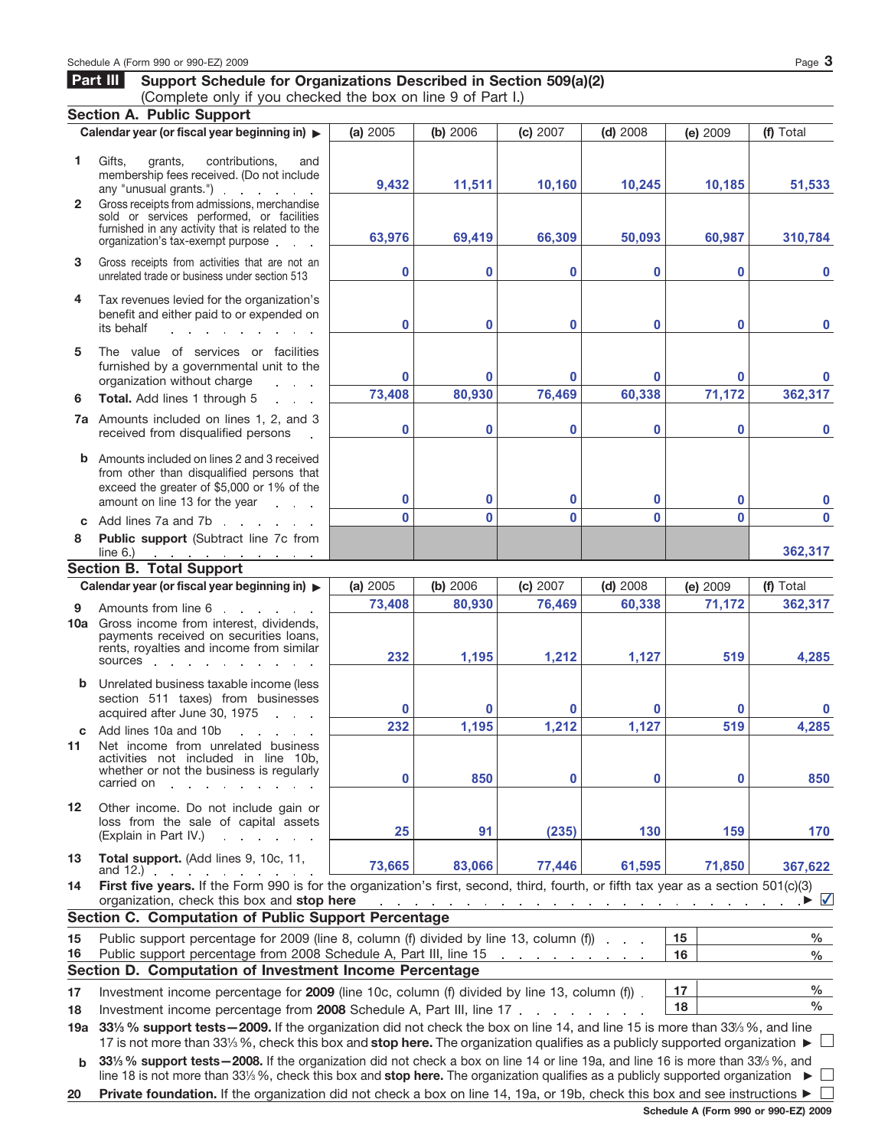## **Part III Support Schedule for Organizations Described in Section 509(a)(2)** (Complete only if you checked the box on line 9 of Part I.)

**Section A. Public Support Calendar year (or fiscal year beginning in)** © **(a)** 2005 **(b)** 2006 **(c)** 2007 **(d)** 2008 **(f)** Total **(e)** 2009 **1** Gifts, grants, contributions, and membership fees received. (Do not include **9,432 11,511 10,160 10,245 10,185 51,533** any "unusual grants.") **2** Gross receipts from admissions, merchandise sold or services performed, or facilities furnished in any activity that is related to the **63,976 69,419 66,309 50,093 60,987 310,784** organization's tax-exempt purpose **3** Gross receipts from activities that are not an **0 0 0 0 0 0** unrelated trade or business under section 513 **4** Tax revenues levied for the organization's benefit and either paid to or expended on **0 0 0 0 0 0** its behalf and a strategic and a strategic **5** The value of services or facilities furnished by a governmental unit to the **0 0 0 0 0 0** organization without charge **Service 6 Total.** Add lines 1 through 5 **73,408 80,930 76,469 60,338 71,172 362,317** Amounts included on lines 1, 2, and 3 **7a 0 0 0 0 0 0** received from disqualified persons Amounts included on lines 2 and 3 received **b** from other than disqualified persons that exceed the greater of \$5,000 or 1% of the amount on line 13 for the year **0 0 0 0 0 0 0 0 0 0 0 0** Add lines 7a and 7b **c Public support** (Subtract line 7c from **8** line 6.) **362,317 Section B. Total Support Calendar year (or fiscal year beginning in)** © **(a)** 2005 **(b)** 2006 **(c)** 2007 **(d)** 2008 **(f)** Total **(e)** 2009 **73,408 80,930 76,469 60,338 71,172 362,317 9** Amounts from line 6 10a Gross income from interest, dividends, payments received on securities loans, rents, royalties and income from similar **232 1,195 1,212 1,127 519 4,285** sources with the sources with the sources of the state of the state of the state of the state of the state of the state of the state of the state of the state of the state of the state of the state of the state of the stat **b** Unrelated business taxable income (less section 511 taxes) from businesses **0 0 0 0 0 0** acquired after June 30, 1975 **232 1,195 1,212 1,127 519 4,285 c** Add lines 10a and 10b **11** Net income from unrelated business activities not included in line 10b, whether or not the business is regularly **0 850 0 0 0 850** carried on the state of the state of the state of the state of the state of the state of the state of the state of the state of the state of the state of the state of the state of the state of the state of the state of the **12** Other income. Do not include gain or loss from the sale of capital assets (Explain in Part IV.) **25 91 (235) 130 159 170 13 Total support.** (Add lines 9, 10c, 11, **73,665 83,066 77,446 61,595 71,850 367,622** and 12.) **14 First five years.** If the Form 990 is for the organization's first, second, third, fourth, or fifth tax year as a section 501(c)(3) ✔organization, check this box and **stop here** © **Section C. Computation of Public Support Percentage 15** Public support percentage for 2009 (line 8, column (f) divided by line 13, column (f)) **15 % 16** Public support percentage from 2008 Schedule A, Part III, line 15 **16 % Section D. Computation of Investment Income Percentage % 17 17** Investment income percentage for **2009** (line 10c, column (f) divided by line 13, column (f)) **18 % 18** Investment income percentage from **2008** Schedule A, Part III, line 17 **19a** 331/<sub>2</sub> % support tests – 2009. If the organization did not check the box on line 14, and line 15 is more than 33<sup>/</sup><sub>2</sub> %, and line 17 is not more than 33<sup>1</sup>/<sub>3</sub> %, check this box and **stop here.** The organization qualifies as a publicly supported organization ▶ **b** 331/<sub>3</sub> % support tests—2008. If the organization did not check a box on line 14 or line 19a, and line 16 is more than 33/<sub>3</sub> %, and line 18 is not more than 331⁄3 %, check this box and stop here. The organization qualifies as a publicly supported organization ▶ **20 Private foundation.** If the organization did not check a box on line 14, 19a, or 19b, check this box and see instructions ▶ □